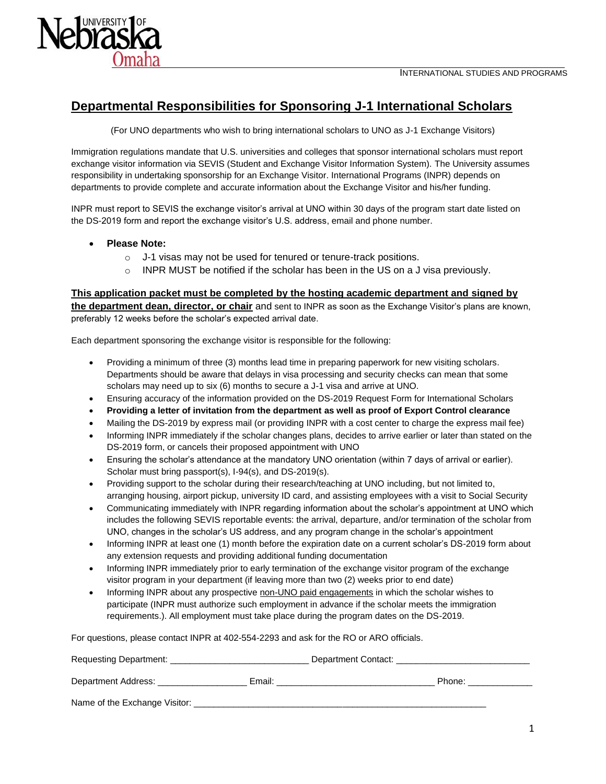



## **Departmental Responsibilities for Sponsoring J-1 International Scholars**

(For UNO departments who wish to bring international scholars to UNO as J-1 Exchange Visitors)

Immigration regulations mandate that U.S. universities and colleges that sponsor international scholars must report exchange visitor information via SEVIS (Student and Exchange Visitor Information System). The University assumes responsibility in undertaking sponsorship for an Exchange Visitor. International Programs (INPR) depends on departments to provide complete and accurate information about the Exchange Visitor and his/her funding.

INPR must report to SEVIS the exchange visitor's arrival at UNO within 30 days of the program start date listed on the DS-2019 form and report the exchange visitor's U.S. address, email and phone number.

- **Please Note:**
	- o J-1 visas may not be used for tenured or tenure-track positions.
	- $\circ$  INPR MUST be notified if the scholar has been in the US on a J visa previously.

**This application packet must be completed by the hosting academic department and signed by the department dean, director, or chair** and sent to INPR as soon as the Exchange Visitor's plans are known, preferably 12 weeks before the scholar's expected arrival date.

Each department sponsoring the exchange visitor is responsible for the following:

- Providing a minimum of three (3) months lead time in preparing paperwork for new visiting scholars. Departments should be aware that delays in visa processing and security checks can mean that some scholars may need up to six (6) months to secure a J-1 visa and arrive at UNO.
- Ensuring accuracy of the information provided on the DS-2019 Request Form for International Scholars
- **Providing a letter of invitation from the department as well as proof of Export Control clearance**
- Mailing the DS-2019 by express mail (or providing INPR with a cost center to charge the express mail fee)
- Informing INPR immediately if the scholar changes plans, decides to arrive earlier or later than stated on the DS-2019 form, or cancels their proposed appointment with UNO
- Ensuring the scholar's attendance at the mandatory UNO orientation (within 7 days of arrival or earlier). Scholar must bring passport(s), I-94(s), and DS-2019(s).
- Providing support to the scholar during their research/teaching at UNO including, but not limited to, arranging housing, airport pickup, university ID card, and assisting employees with a visit to Social Security
- Communicating immediately with INPR regarding information about the scholar's appointment at UNO which includes the following SEVIS reportable events: the arrival, departure, and/or termination of the scholar from UNO, changes in the scholar's US address, and any program change in the scholar's appointment
- Informing INPR at least one (1) month before the expiration date on a current scholar's DS-2019 form about any extension requests and providing additional funding documentation
- Informing INPR immediately prior to early termination of the exchange visitor program of the exchange visitor program in your department (if leaving more than two (2) weeks prior to end date)
- Informing INPR about any prospective non-UNO paid engagements in which the scholar wishes to participate (INPR must authorize such employment in advance if the scholar meets the immigration requirements.). All employment must take place during the program dates on the DS-2019.

For questions, please contact INPR at 402-554-2293 and ask for the RO or ARO officials.

| Requesting Department:        | Department Contact: |        |
|-------------------------------|---------------------|--------|
| Department Address:<br>Email: |                     | Phone: |
| Name of the Exchange Visitor: |                     |        |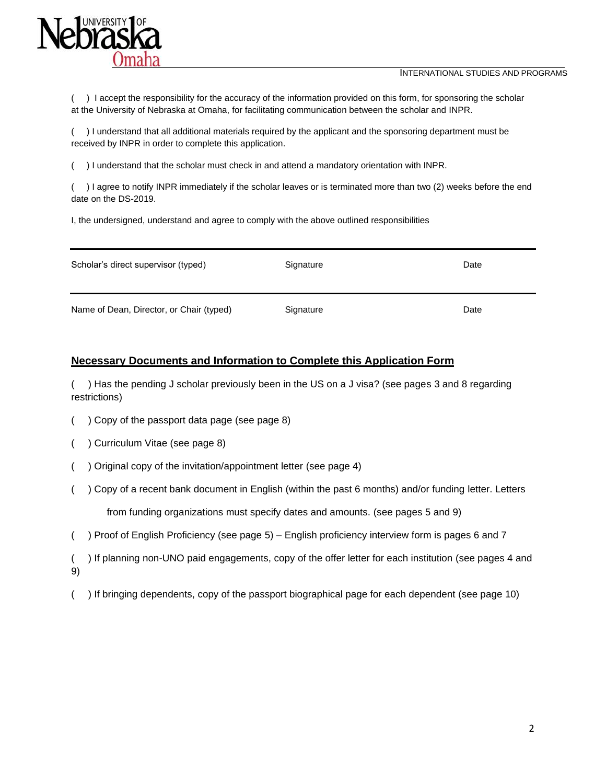

INTERNATIONAL STUDIES AND PROGRAMS

( ) I accept the responsibility for the accuracy of the information provided on this form, for sponsoring the scholar at the University of Nebraska at Omaha, for facilitating communication between the scholar and INPR.

( ) I understand that all additional materials required by the applicant and the sponsoring department must be received by INPR in order to complete this application.

( ) I understand that the scholar must check in and attend a mandatory orientation with INPR.

( ) I agree to notify INPR immediately if the scholar leaves or is terminated more than two (2) weeks before the end date on the DS-2019.

I, the undersigned, understand and agree to comply with the above outlined responsibilities

| Scholar's direct supervisor (typed)      | Signature | Date |
|------------------------------------------|-----------|------|
| Name of Dean, Director, or Chair (typed) | Signature | Date |

#### **Necessary Documents and Information to Complete this Application Form**

( ) Has the pending J scholar previously been in the US on a J visa? (see pages 3 and 8 regarding restrictions)

- ( ) Copy of the passport data page (see page 8)
- ( ) Curriculum Vitae (see page 8)
- ( ) Original copy of the invitation/appointment letter (see page 4)
- ( ) Copy of a recent bank document in English (within the past 6 months) and/or funding letter. Letters from funding organizations must specify dates and amounts. (see pages 5 and 9)
- ( ) Proof of English Proficiency (see page 5) English proficiency interview form is pages 6 and 7
- ( ) If planning non-UNO paid engagements, copy of the offer letter for each institution (see pages 4 and 9)
- ( ) If bringing dependents, copy of the passport biographical page for each dependent (see page 10)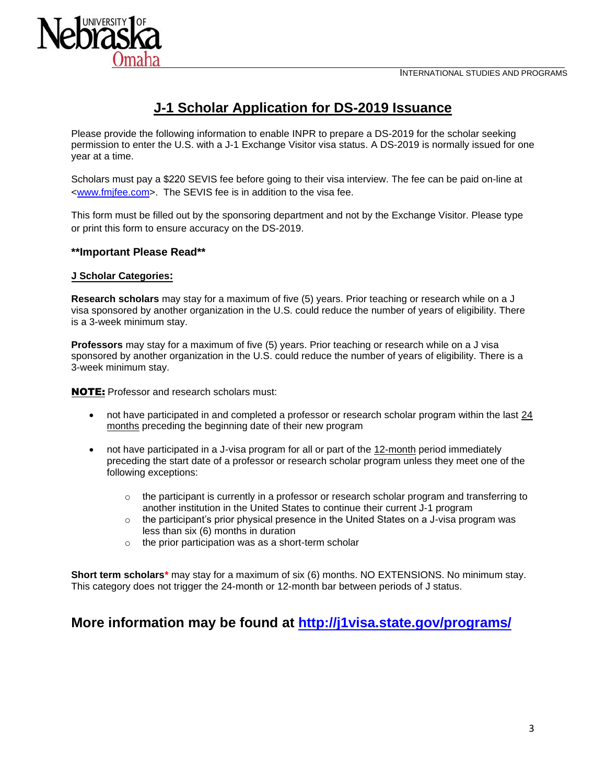

# **J-1 Scholar Application for DS-2019 Issuance**

Please provide the following information to enable INPR to prepare a DS-2019 for the scholar seeking permission to enter the U.S. with a J-1 Exchange Visitor visa status. A DS-2019 is normally issued for one year at a time.

Scholars must pay a \$220 SEVIS fee before going to their visa interview. The fee can be paid on-line at [<www.fmjfee.com>](http://www.fmjfee.com/). The SEVIS fee is in addition to the visa fee.

This form must be filled out by the sponsoring department and not by the Exchange Visitor. Please type or print this form to ensure accuracy on the DS-2019.

#### **\*\*Important Please Read\*\***

#### **J Scholar Categories:**

**Research scholars** may stay for a maximum of five (5) years. Prior teaching or research while on a J visa sponsored by another organization in the U.S. could reduce the number of years of eligibility. There is a 3-week minimum stay.

**Professors** may stay for a maximum of five (5) years. Prior teaching or research while on a J visa sponsored by another organization in the U.S. could reduce the number of years of eligibility. There is a 3-week minimum stay.

NOTE: Professor and research scholars must:

- not have participated in and completed a professor or research scholar program within the last 24 months preceding the beginning date of their new program
- not have participated in a J-visa program for all or part of the 12-month period immediately preceding the start date of a professor or research scholar program unless they meet one of the following exceptions:
	- $\circ$  the participant is currently in a professor or research scholar program and transferring to another institution in the United States to continue their current J-1 program
	- $\circ$  the participant's prior physical presence in the United States on a J-visa program was less than six (6) months in duration
	- $\circ$  the prior participation was as a short-term scholar

**Short term scholars\*** may stay for a maximum of six (6) months. NO EXTENSIONS. No minimum stay. This category does not trigger the 24-month or 12-month bar between periods of J status.

# **More information may be found at <http://j1visa.state.gov/programs/>**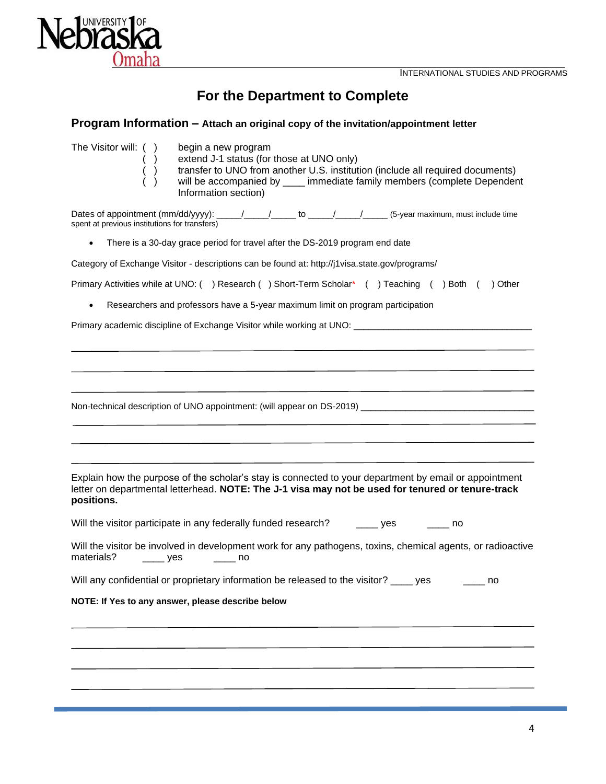

# **For the Department to Complete**

|  |  | Program Information - Attach an original copy of the invitation/appointment letter |  |
|--|--|------------------------------------------------------------------------------------|--|
|  |  |                                                                                    |  |

| The Visitor will: () | begin a new program                                                            |
|----------------------|--------------------------------------------------------------------------------|
|                      | extend J-1 status (for those at UNO only)                                      |
|                      | transfer to UNO from another U.S. institution (include all required documents) |
|                      | will be accompanied by immediate family members (complete Dependent            |
|                      | Information section)                                                           |
|                      |                                                                                |

Dates of appointment  $(mm/dd/yyy)$ : \_\_\_\_\_/\_\_\_\_\_/\_\_\_\_\_\_ to \_\_\_\_\_/\_\_\_\_\_/\_\_\_\_\_\_ (5-year maximum, must include time spent at previous institutions for transfers)

• There is a 30-day grace period for travel after the DS-2019 program end date

Category of Exchange Visitor - descriptions can be found at: http://j1visa.state.gov/programs/

Primary Activities while at UNO: () Research () Short-Term Scholar\* () Teaching () Both () Other

• Researchers and professors have a 5-year maximum limit on program participation

Primary academic discipline of Exchange Visitor while working at UNO: \_\_\_\_\_\_\_\_\_\_

Non-technical description of UNO appointment: (will appear on DS-2019) \_\_\_\_\_\_\_\_\_\_\_\_\_\_\_\_\_\_\_\_\_\_\_\_\_\_\_\_

Explain how the purpose of the scholar's stay is connected to your department by email or appointment letter on departmental letterhead. **NOTE: The J-1 visa may not be used for tenured or tenure-track positions.**

| Will the visitor participate in any federally funded research? |  |  | ves | no. |
|----------------------------------------------------------------|--|--|-----|-----|
|----------------------------------------------------------------|--|--|-----|-----|

Will the visitor be involved in development work for any pathogens, toxins, chemical agents, or radioactive materials? \_\_\_\_\_ yes \_\_\_\_\_ no

Will any confidential or proprietary information be released to the visitor? \_\_\_\_ yes \_\_\_\_\_\_ no

#### **NOTE: If Yes to any answer, please describe below**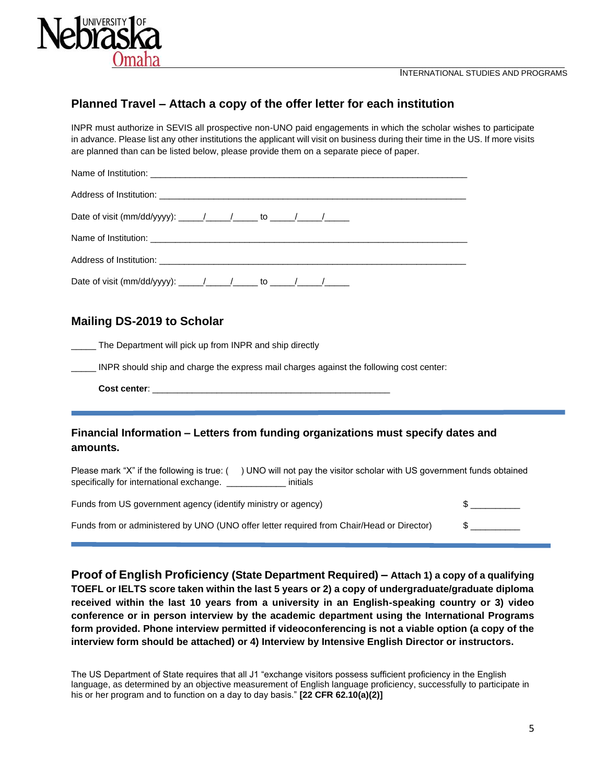

### **Planned Travel – Attach a copy of the offer letter for each institution**

INPR must authorize in SEVIS all prospective non-UNO paid engagements in which the scholar wishes to participate in advance. Please list any other institutions the applicant will visit on business during their time in the US. If more visits are planned than can be listed below, please provide them on a separate piece of paper.

| Name of Institution: <b>contract the Contract of Institution: Contract of Institution:</b> |
|--------------------------------------------------------------------------------------------|
|                                                                                            |
|                                                                                            |
|                                                                                            |
|                                                                                            |
|                                                                                            |

### **Mailing DS-2019 to Scholar**

\_\_\_\_\_ The Department will pick up from INPR and ship directly

INPR should ship and charge the express mail charges against the following cost center:

**Cost center**: \_\_\_\_\_\_\_\_\_\_\_\_\_\_\_\_\_\_\_\_\_\_\_\_\_\_\_\_\_\_\_\_\_\_\_\_\_\_\_\_\_\_\_\_\_\_\_\_

### **Financial Information – Letters from funding organizations must specify dates and amounts.**

Please mark "X" if the following is true: () UNO will not pay the visitor scholar with US government funds obtained specifically for international exchange. \_\_\_\_\_\_\_\_\_\_\_\_\_\_ initials

| Funds from US government agency (identify ministry or agency)                             |  |
|-------------------------------------------------------------------------------------------|--|
| Funds from or administered by UNO (UNO offer letter required from Chair/Head or Director) |  |

**Proof of English Proficiency (State Department Required) – Attach 1) a copy of a qualifying TOEFL or IELTS score taken within the last 5 years or 2) a copy of undergraduate/graduate diploma received within the last 10 years from a university in an English-speaking country or 3) video conference or in person interview by the academic department using the International Programs form provided. Phone interview permitted if videoconferencing is not a viable option (a copy of the interview form should be attached) or 4) Interview by Intensive English Director or instructors.** 

The US Department of State requires that all J1 "exchange visitors possess sufficient proficiency in the English language, as determined by an objective measurement of English language proficiency, successfully to participate in his or her program and to function on a day to day basis." **[22 CFR 62.10(a)(2)]**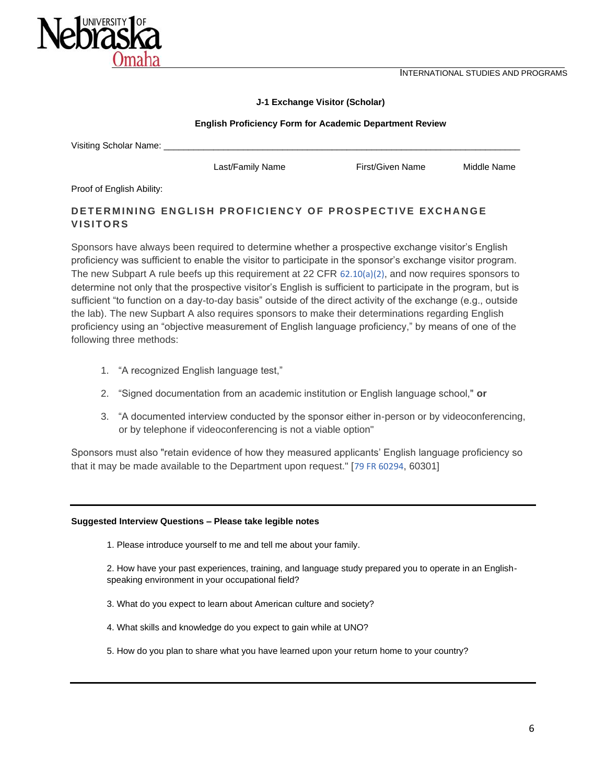INTERNATIONAL STUDIES AND PROGRAMS



#### **J-1 Exchange Visitor (Scholar)**

#### **English Proficiency Form for Academic Department Review**

| Visiting Scholar Name: |
|------------------------|
|                        |

Last/Family Name First/Given Name Middle Name

Proof of English Ability:

### **DETERMINING ENGLISH PROFICIENCY OF PROSPECTIVE EXCHANGE V I S I T O R S**

Sponsors have always been required to determine whether a prospective exchange visitor's English proficiency was sufficient to enable the visitor to participate in the sponsor's exchange visitor program. The new Subpart A rule beefs up this requirement at 22 CFR  $62.10(a)(2)$ , and now requires sponsors to determine not only that the prospective visitor's English is sufficient to participate in the program, but is sufficient "to function on a day-to-day basis" outside of the direct activity of the exchange (e.g., outside the lab). The new Supbart A also requires sponsors to make their determinations regarding English proficiency using an "objective measurement of English language proficiency," by means of one of the following three methods:

- 1. "A recognized English language test,"
- 2. "Signed documentation from an academic institution or English language school," **or**
- 3. "A documented interview conducted by the sponsor either in-person or by videoconferencing, or by telephone if videoconferencing is not a viable option"

Sponsors must also "retain evidence of how they measured applicants' English language proficiency so that it may be made available to the Department upon request." [[79 FR 60294](http://www.nafsa.org/uploadedFiles/Chez_NAFSA/Find_Resources/Supporting_International_Students_And_Scholars/ISS_Issues/Issues/FinalJsubpartArule_20141006.pdf), 60301]

#### **Suggested Interview Questions – Please take legible notes**

1. Please introduce yourself to me and tell me about your family.

2. How have your past experiences, training, and language study prepared you to operate in an Englishspeaking environment in your occupational field?

- 3. What do you expect to learn about American culture and society?
- 4. What skills and knowledge do you expect to gain while at UNO?
- 5. How do you plan to share what you have learned upon your return home to your country?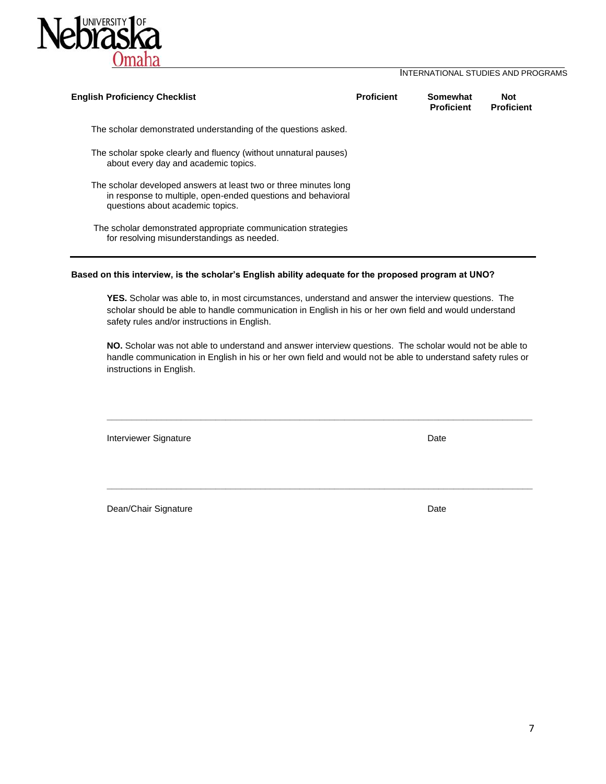

#### INTERNATIONAL STUDIES AND PROGRAMS

| <b>English Proficiency Checklist</b>                                                                                                                                 | <b>Proficient</b> | Somewhat<br><b>Proficient</b> | <b>Not</b><br><b>Proficient</b> |
|----------------------------------------------------------------------------------------------------------------------------------------------------------------------|-------------------|-------------------------------|---------------------------------|
| The scholar demonstrated understanding of the questions asked.                                                                                                       |                   |                               |                                 |
| The scholar spoke clearly and fluency (without unnatural pauses)<br>about every day and academic topics.                                                             |                   |                               |                                 |
| The scholar developed answers at least two or three minutes long<br>in response to multiple, open-ended questions and behavioral<br>questions about academic topics. |                   |                               |                                 |
| The scholar demonstrated appropriate communication strategies<br>for resolving misunderstandings as needed.                                                          |                   |                               |                                 |

#### **Based on this interview, is the scholar's English ability adequate for the proposed program at UNO?**

**YES.** Scholar was able to, in most circumstances, understand and answer the interview questions. The scholar should be able to handle communication in English in his or her own field and would understand safety rules and/or instructions in English.

**NO.** Scholar was not able to understand and answer interview questions. The scholar would not be able to handle communication in English in his or her own field and would not be able to understand safety rules or instructions in English.

**\_\_\_\_\_\_\_\_\_\_\_\_\_\_\_\_\_\_\_\_\_\_\_\_\_\_\_\_\_\_\_\_\_\_\_\_\_\_\_\_\_\_\_\_\_\_\_\_\_\_\_\_\_\_\_\_\_\_\_\_\_\_\_\_\_\_\_\_\_\_\_\_\_\_\_\_\_\_\_\_\_\_\_\_\_\_**

**\_\_\_\_\_\_\_\_\_\_\_\_\_\_\_\_\_\_\_\_\_\_\_\_\_\_\_\_\_\_\_\_\_\_\_\_\_\_\_\_\_\_\_\_\_\_\_\_\_\_\_\_\_\_\_\_\_\_\_\_\_\_\_\_\_\_\_\_\_\_\_\_\_\_\_\_\_\_\_\_\_\_\_\_\_\_**

Interviewer Signature **Date** 

Dean/Chair Signature **Date** Date **Date**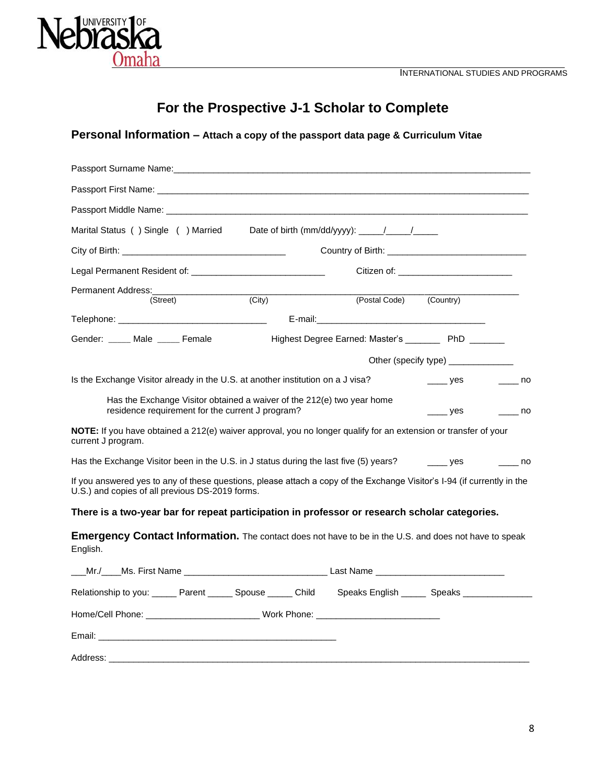

# **For the Prospective J-1 Scholar to Complete**

## **Personal Information – Attach a copy of the passport data page & Curriculum Vitae**

| Passport Surname Name: Web and the control of the control of the control of the control of the control of the control of the control of the control of the control of the control of the control of the control of the control |        |                                                   |                                                  |  |
|--------------------------------------------------------------------------------------------------------------------------------------------------------------------------------------------------------------------------------|--------|---------------------------------------------------|--------------------------------------------------|--|
|                                                                                                                                                                                                                                |        |                                                   |                                                  |  |
|                                                                                                                                                                                                                                |        |                                                   |                                                  |  |
| Marital Status () Single () Married Date of birth (mm/dd/yyyy): _____/_____/_____                                                                                                                                              |        |                                                   |                                                  |  |
| City of Birth: <b>Example 2018</b>                                                                                                                                                                                             |        |                                                   |                                                  |  |
|                                                                                                                                                                                                                                |        |                                                   | Citizen of: ____________________________         |  |
| (Street)                                                                                                                                                                                                                       | (City) | (Postal Code) (Country)                           |                                                  |  |
|                                                                                                                                                                                                                                |        |                                                   |                                                  |  |
| Gender: ____ Male ____ Female                                                                                                                                                                                                  |        | Highest Degree Earned: Master's ______ PhD ______ |                                                  |  |
|                                                                                                                                                                                                                                |        |                                                   | Other (specify type) _____________               |  |
| Is the Exchange Visitor already in the U.S. at another institution on a J visa?                                                                                                                                                |        |                                                   | $\frac{1}{2}$ yes and $\frac{1}{2}$ no           |  |
| Has the Exchange Visitor obtained a waiver of the 212(e) two year home<br>residence requirement for the current J program?                                                                                                     |        |                                                   | $\rule{1em}{0.15mm}$ yes $\rule{1em}{0.15mm}$ no |  |
| NOTE: If you have obtained a 212(e) waiver approval, you no longer qualify for an extension or transfer of your<br>current J program.                                                                                          |        |                                                   |                                                  |  |
| Has the Exchange Visitor been in the U.S. in J status during the last five (5) years? ______ yes ________ no                                                                                                                   |        |                                                   |                                                  |  |
| If you answered yes to any of these questions, please attach a copy of the Exchange Visitor's I-94 (if currently in the<br>U.S.) and copies of all previous DS-2019 forms.                                                     |        |                                                   |                                                  |  |
| There is a two-year bar for repeat participation in professor or research scholar categories.                                                                                                                                  |        |                                                   |                                                  |  |
| <b>Emergency Contact Information.</b> The contact does not have to be in the U.S. and does not have to speak<br>English.                                                                                                       |        |                                                   |                                                  |  |
| ___Mr./____Ms. First Name __________________________________Last Name _____________________________                                                                                                                            |        |                                                   |                                                  |  |
| Relationship to you: ______ Parent ______ Spouse _____ Child Speaks English _____ Speaks ___________                                                                                                                           |        |                                                   |                                                  |  |
|                                                                                                                                                                                                                                |        |                                                   |                                                  |  |
|                                                                                                                                                                                                                                |        |                                                   |                                                  |  |
| Address:                                                                                                                                                                                                                       |        |                                                   |                                                  |  |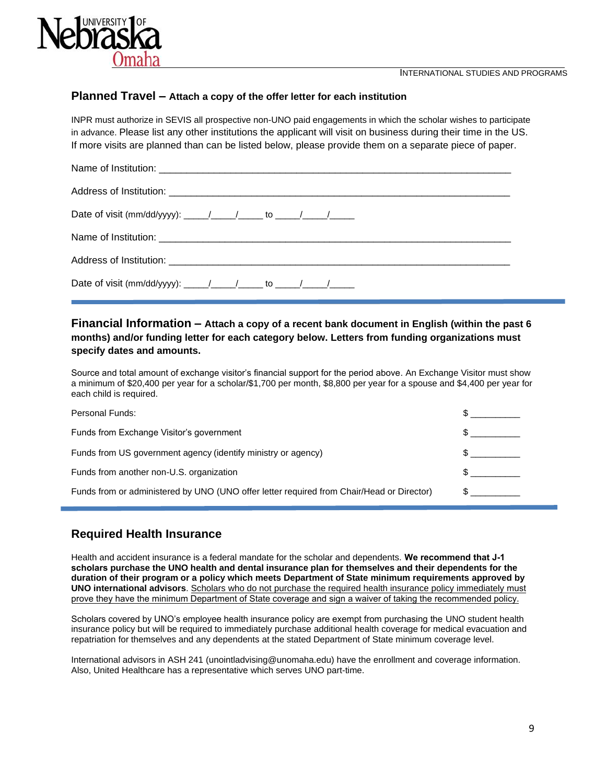



### **Planned Travel – Attach a copy of the offer letter for each institution**

INPR must authorize in SEVIS all prospective non-UNO paid engagements in which the scholar wishes to participate in advance. Please list any other institutions the applicant will visit on business during their time in the US. If more visits are planned than can be listed below, please provide them on a separate piece of paper.

### **Financial Information – Attach a copy of a recent bank document in English (within the past 6 months) and/or funding letter for each category below. Letters from funding organizations must specify dates and amounts.**

Source and total amount of exchange visitor's financial support for the period above. An Exchange Visitor must show a minimum of \$20,400 per year for a scholar/\$1,700 per month, \$8,800 per year for a spouse and \$4,400 per year for each child is required.

| Personal Funds:                                                                           |  |
|-------------------------------------------------------------------------------------------|--|
| Funds from Exchange Visitor's government                                                  |  |
| Funds from US government agency (identify ministry or agency)                             |  |
| Funds from another non-U.S. organization                                                  |  |
| Funds from or administered by UNO (UNO offer letter required from Chair/Head or Director) |  |

## **Required Health Insurance**

Health and accident insurance is a federal mandate for the scholar and dependents. **We recommend that J-1 scholars purchase the UNO health and dental insurance plan for themselves and their dependents for the duration of their program or a policy which meets Department of State minimum requirements approved by UNO international advisors**. Scholars who do not purchase the required health insurance policy immediately must prove they have the minimum Department of State coverage and sign a waiver of taking the recommended policy.

Scholars covered by UNO's employee health insurance policy are exempt from purchasing the UNO student health insurance policy but will be required to immediately purchase additional health coverage for medical evacuation and repatriation for themselves and any dependents at the stated Department of State minimum coverage level.

International advisors in ASH 241 (unointladvising@unomaha.edu) have the enrollment and coverage information. Also, United Healthcare has a representative which serves UNO part-time.